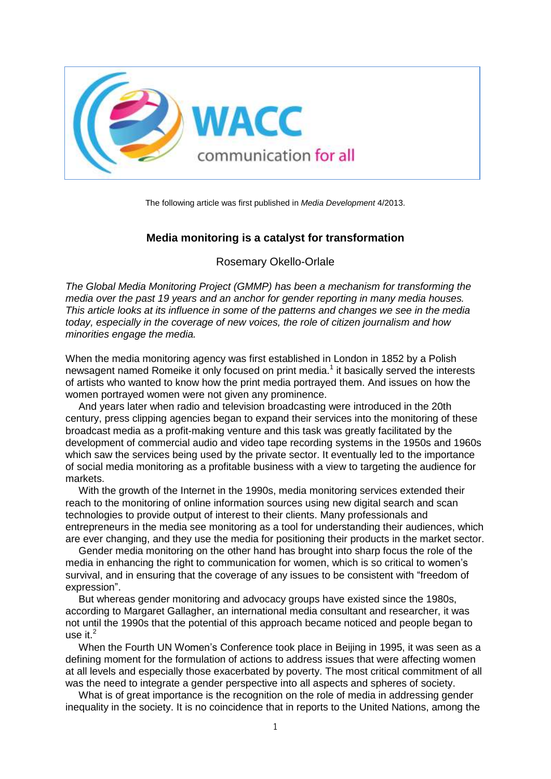

The following article was first published in *Media Development* 4/2013.

# **Media monitoring is a catalyst for transformation**

Rosemary Okello-Orlale

*The Global Media Monitoring Project (GMMP) has been a mechanism for transforming the media over the past 19 years and an anchor for gender reporting in many media houses. This article looks at its influence in some of the patterns and changes we see in the media today, especially in the coverage of new voices, the role of citizen journalism and how minorities engage the media.*

When the media monitoring agency was first established in London in 1852 by a Polish newsagent named Romeike it only focused on print media.<sup>1</sup> it basically served the interests of artists who wanted to know how the print media portrayed them. And issues on how the women portrayed women were not given any prominence.

And years later when radio and television broadcasting were introduced in the 20th century, press clipping agencies began to expand their services into the monitoring of these broadcast media as a profit-making venture and this task was greatly facilitated by the development of commercial audio and video tape recording systems in the 1950s and 1960s which saw the services being used by the private sector. It eventually led to the importance of social media monitoring as a profitable business with a view to targeting the audience for markets.

With the growth of the Internet in the 1990s, media monitoring services extended their reach to the monitoring of online information sources using new digital search and scan technologies to provide output of interest to their clients. Many professionals and entrepreneurs in the media see monitoring as a tool for understanding their audiences, which are ever changing, and they use the media for positioning their products in the market sector.

Gender media monitoring on the other hand has brought into sharp focus the role of the media in enhancing the right to communication for women, which is so critical to women's survival, and in ensuring that the coverage of any issues to be consistent with "freedom of expression".

But whereas gender monitoring and advocacy groups have existed since the 1980s, according to Margaret Gallagher, an international media consultant and researcher, it was not until the 1990s that the potential of this approach became noticed and people began to use it. $<sup>2</sup>$ </sup>

When the Fourth UN Women's Conference took place in Beijing in 1995, it was seen as a defining moment for the formulation of actions to address issues that were affecting women at all levels and especially those exacerbated by poverty. The most critical commitment of all was the need to integrate a gender perspective into all aspects and spheres of society.

What is of great importance is the recognition on the role of media in addressing gender inequality in the society. It is no coincidence that in reports to the United Nations, among the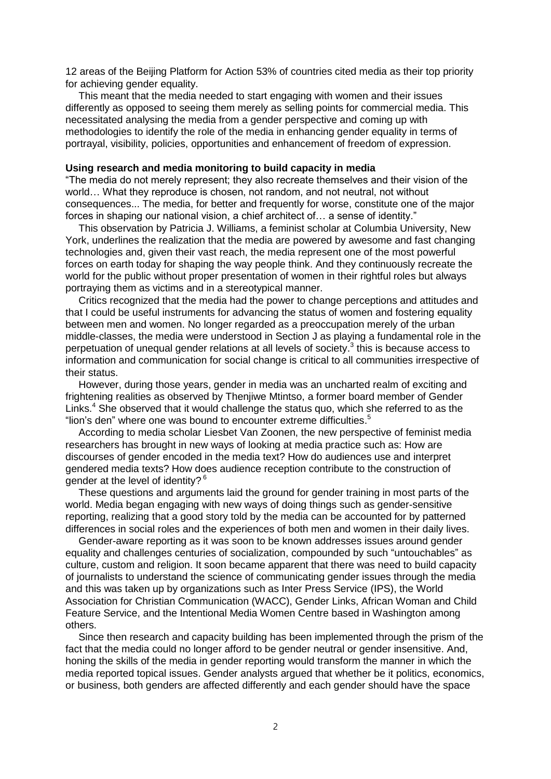12 areas of the Beijing Platform for Action 53% of countries cited media as their top priority for achieving gender equality.

This meant that the media needed to start engaging with women and their issues differently as opposed to seeing them merely as selling points for commercial media. This necessitated analysing the media from a gender perspective and coming up with methodologies to identify the role of the media in enhancing gender equality in terms of portrayal, visibility, policies, opportunities and enhancement of freedom of expression.

## **Using research and media monitoring to build capacity in media**

"The media do not merely represent; they also recreate themselves and their vision of the world… What they reproduce is chosen, not random, and not neutral, not without consequences... The media, for better and frequently for worse, constitute one of the major forces in shaping our national vision, a chief architect of… a sense of identity."

This observation by Patricia J. Williams, a feminist scholar at Columbia University, New York, underlines the realization that the media are powered by awesome and fast changing technologies and, given their vast reach, the media represent one of the most powerful forces on earth today for shaping the way people think. And they continuously recreate the world for the public without proper presentation of women in their rightful roles but always portraying them as victims and in a stereotypical manner.

Critics recognized that the media had the power to change perceptions and attitudes and that I could be useful instruments for advancing the status of women and fostering equality between men and women. No longer regarded as a preoccupation merely of the urban middle-classes, the media were understood in Section J as playing a fundamental role in the perpetuation of unequal gender relations at all levels of society.<sup>3</sup> this is because access to information and communication for social change is critical to all communities irrespective of their status.

However, during those years, gender in media was an uncharted realm of exciting and frightening realities as observed by Thenjiwe Mtintso, a former board member of Gender Links. <sup>4</sup> She observed that it would challenge the status quo, which she referred to as the "lion's den" where one was bound to encounter extreme difficulties.<sup>5</sup>

According to media scholar Liesbet Van Zoonen, the new perspective of feminist media researchers has brought in new ways of looking at media practice such as: How are discourses of gender encoded in the media text? How do audiences use and interpret gendered media texts? How does audience reception contribute to the construction of gender at the level of identity? <sup>6</sup>

These questions and arguments laid the ground for gender training in most parts of the world. Media began engaging with new ways of doing things such as gender-sensitive reporting, realizing that a good story told by the media can be accounted for by patterned differences in social roles and the experiences of both men and women in their daily lives.

Gender-aware reporting as it was soon to be known addresses issues around gender equality and challenges centuries of socialization, compounded by such "untouchables" as culture, custom and religion. It soon became apparent that there was need to build capacity of journalists to understand the science of communicating gender issues through the media and this was taken up by organizations such as Inter Press Service (IPS), the World Association for Christian Communication (WACC), Gender Links, African Woman and Child Feature Service, and the Intentional Media Women Centre based in Washington among others.

Since then research and capacity building has been implemented through the prism of the fact that the media could no longer afford to be gender neutral or gender insensitive. And, honing the skills of the media in gender reporting would transform the manner in which the media reported topical issues. Gender analysts argued that whether be it politics, economics, or business, both genders are affected differently and each gender should have the space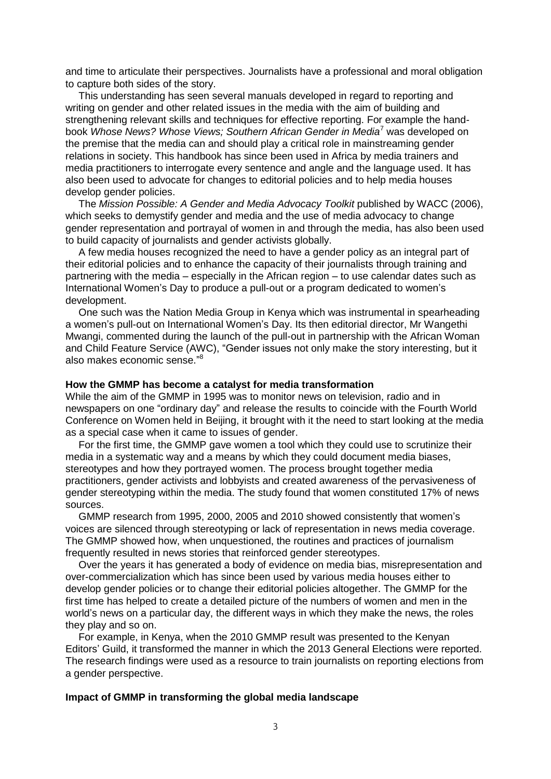and time to articulate their perspectives. Journalists have a professional and moral obligation to capture both sides of the story.

This understanding has seen several manuals developed in regard to reporting and writing on gender and other related issues in the media with the aim of building and strengthening relevant skills and techniques for effective reporting. For example the handbook *Whose News? Whose Views; Southern African Gender in Media*<sup>7</sup> was developed on the premise that the media can and should play a critical role in mainstreaming gender relations in society. This handbook has since been used in Africa by media trainers and media practitioners to interrogate every sentence and angle and the language used. It has also been used to advocate for changes to editorial policies and to help media houses develop gender policies.

The *Mission Possible: A Gender and Media Advocacy Toolkit* published by WACC (2006), which seeks to demystify gender and media and the use of media advocacy to change gender representation and portrayal of women in and through the media, has also been used to build capacity of journalists and gender activists globally.

A few media houses recognized the need to have a gender policy as an integral part of their editorial policies and to enhance the capacity of their journalists through training and partnering with the media – especially in the African region – to use calendar dates such as International Women's Day to produce a pull-out or a program dedicated to women's development.

One such was the Nation Media Group in Kenya which was instrumental in spearheading a women's pull-out on International Women's Day. Its then editorial director, Mr Wangethi Mwangi, commented during the launch of the pull-out in partnership with the African Woman and Child Feature Service (AWC), "Gender issues not only make the story interesting, but it also makes economic sense." 8

#### **How the GMMP has become a catalyst for media transformation**

While the aim of the GMMP in 1995 was to monitor news on television, radio and in newspapers on one "ordinary day" and release the results to coincide with the Fourth World Conference on Women held in Beijing, it brought with it the need to start looking at the media as a special case when it came to issues of gender.

For the first time, the GMMP gave women a tool which they could use to scrutinize their media in a systematic way and a means by which they could document media biases, stereotypes and how they portrayed women. The process brought together media practitioners, gender activists and lobbyists and created awareness of the pervasiveness of gender stereotyping within the media. The study found that women constituted 17% of news sources.

GMMP research from 1995, 2000, 2005 and 2010 showed consistently that women's voices are silenced through stereotyping or lack of representation in news media coverage. The GMMP showed how, when unquestioned, the routines and practices of journalism frequently resulted in news stories that reinforced gender stereotypes.

Over the years it has generated a body of evidence on media bias, misrepresentation and over-commercialization which has since been used by various media houses either to develop gender policies or to change their editorial policies altogether. The GMMP for the first time has helped to create a detailed picture of the numbers of women and men in the world's news on a particular day, the different ways in which they make the news, the roles they play and so on.

For example, in Kenya, when the 2010 GMMP result was presented to the Kenyan Editors' Guild, it transformed the manner in which the 2013 General Elections were reported. The research findings were used as a resource to train journalists on reporting elections from a gender perspective.

### **Impact of GMMP in transforming the global media landscape**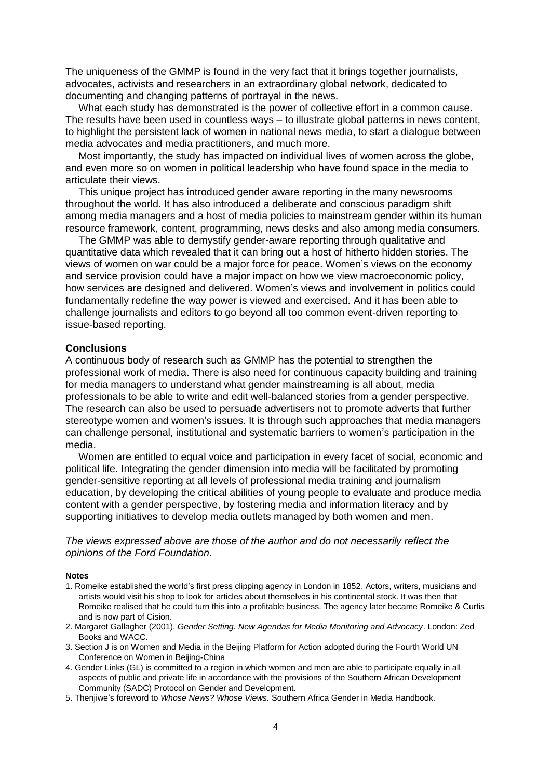The uniqueness of the GMMP is found in the very fact that it brings together journalists, advocates, activists and researchers in an extraordinary global network, dedicated to documenting and changing patterns of portrayal in the news.

What each study has demonstrated is the power of collective effort in a common cause. The results have been used in countless ways – to illustrate global patterns in news content, to highlight the persistent lack of women in national news media, to start a dialogue between media advocates and media practitioners, and much more.

Most importantly, the study has impacted on individual lives of women across the globe, and even more so on women in political leadership who have found space in the media to articulate their views.

This unique project has introduced gender aware reporting in the many newsrooms throughout the world. It has also introduced a deliberate and conscious paradigm shift among media managers and a host of media policies to mainstream gender within its human resource framework, content, programming, news desks and also among media consumers.

The GMMP was able to demystify gender-aware reporting through qualitative and quantitative data which revealed that it can bring out a host of hitherto hidden stories. The views of women on war could be a major force for peace. Women's views on the economy and service provision could have a major impact on how we view macroeconomic policy, how services are designed and delivered. Women's views and involvement in politics could fundamentally redefine the way power is viewed and exercised. And it has been able to challenge journalists and editors to go beyond all too common event-driven reporting to issue-based reporting.

### **Conclusions**

A continuous body of research such as GMMP has the potential to strengthen the professional work of media. There is also need for continuous capacity building and training for media managers to understand what gender mainstreaming is all about, media professionals to be able to write and edit well-balanced stories from a gender perspective. The research can also be used to persuade advertisers not to promote adverts that further stereotype women and women's issues. It is through such approaches that media managers can challenge personal, institutional and systematic barriers to women's participation in the media.

Women are entitled to equal voice and participation in every facet of social, economic and political life. Integrating the gender dimension into media will be facilitated by promoting gender-sensitive reporting at all levels of professional media training and journalism education, by developing the critical abilities of young people to evaluate and produce media content with a gender perspective, by fostering media and information literacy and by supporting initiatives to develop media outlets managed by both women and men.

*The views expressed above are those of the author and do not necessarily reflect the opinions of the Ford Foundation.*

#### **Notes**

- 1. Romeike established the world's first press clipping agency in London in 1852. Actors, writers, musicians and artists would visit his shop to look for articles about themselves in his continental stock. It was then that Romeike realised that he could turn this into a profitable business. The agency later became Romeike & Curtis and is now part of Cision.
- 2. Margaret Gallagher (2001). *Gender Setting. New Agendas for Media Monitoring and Advocacy*. London: Zed Books and WACC.
- 3. Section J is on Women and Media in the Beijing Platform for Action adopted during the Fourth World UN Conference on Women in Beijing-China
- 4. Gender Links (GL) is committed to a region in which women and men are able to participate equally in all aspects of public and private life in accordance with the provisions of the Southern African Development Community (SADC) Protocol on Gender and Development.
- 5. Thenjiwe's foreword to *Whose News? Whose Views.* Southern Africa Gender in Media Handbook.